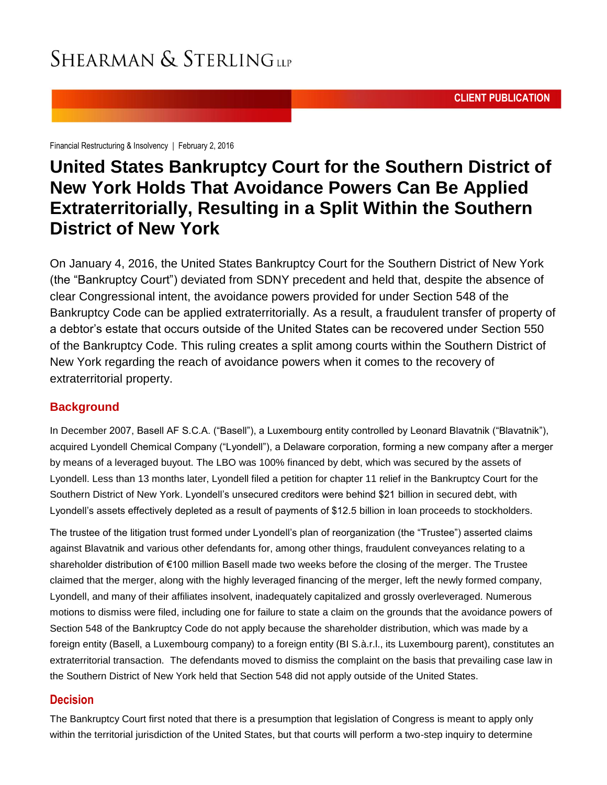**CLIENT PUBLICATION**

[Financial Restructuring & Insolvency](http://www.shearman.com/en/services/practices/financialrestructuringandinsolvency) | February 2, 2016

### **United States Bankruptcy Court for the Southern District of New York Holds That Avoidance Powers Can Be Applied Extraterritorially, Resulting in a Split Within the Southern District of New York**

On January 4, 2016, the United States Bankruptcy Court for the Southern District of New York (the "Bankruptcy Court") deviated from SDNY precedent and held that, despite the absence of clear Congressional intent, the avoidance powers provided for under Section 548 of the Bankruptcy Code can be applied extraterritorially. As a result, a fraudulent transfer of property of a debtor's estate that occurs outside of the United States can be recovered under Section 550 of the Bankruptcy Code. This ruling creates a split among courts within the Southern District of New York regarding the reach of avoidance powers when it comes to the recovery of extraterritorial property.

#### **Background**

In December 2007, Basell AF S.C.A. ("Basell"), a Luxembourg entity controlled by Leonard Blavatnik ("Blavatnik"), acquired Lyondell Chemical Company ("Lyondell"), a Delaware corporation, forming a new company after a merger by means of a leveraged buyout. The LBO was 100% financed by debt, which was secured by the assets of Lyondell. Less than 13 months later, Lyondell filed a petition for chapter 11 relief in the Bankruptcy Court for the Southern District of New York. Lyondell's unsecured creditors were behind \$21 billion in secured debt, with Lyondell's assets effectively depleted as a result of payments of \$12.5 billion in loan proceeds to stockholders.

The trustee of the litigation trust formed under Lyondell's plan of reorganization (the "Trustee") asserted claims against Blavatnik and various other defendants for, among other things, fraudulent conveyances relating to a shareholder distribution of €100 million Basell made two weeks before the closing of the merger. The Trustee claimed that the merger, along with the highly leveraged financing of the merger, left the newly formed company, Lyondell, and many of their affiliates insolvent, inadequately capitalized and grossly overleveraged. Numerous motions to dismiss were filed, including one for failure to state a claim on the grounds that the avoidance powers of Section 548 of the Bankruptcy Code do not apply because the shareholder distribution, which was made by a foreign entity (Basell, a Luxembourg company) to a foreign entity (BI S.à.r.l., its Luxembourg parent), constitutes an extraterritorial transaction. The defendants moved to dismiss the complaint on the basis that prevailing case law in the Southern District of New York held that Section 548 did not apply outside of the United States.

#### **Decision**

The Bankruptcy Court first noted that there is a presumption that legislation of Congress is meant to apply only within the territorial jurisdiction of the United States, but that courts will perform a two-step inquiry to determine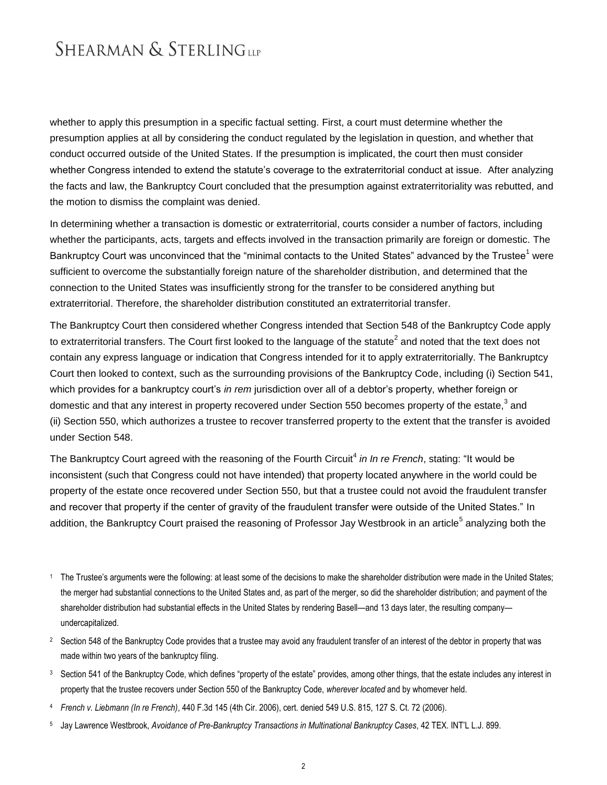whether to apply this presumption in a specific factual setting. First, a court must determine whether the presumption applies at all by considering the conduct regulated by the legislation in question, and whether that conduct occurred outside of the United States. If the presumption is implicated, the court then must consider whether Congress intended to extend the statute's coverage to the extraterritorial conduct at issue. After analyzing the facts and law, the Bankruptcy Court concluded that the presumption against extraterritoriality was rebutted, and the motion to dismiss the complaint was denied.

In determining whether a transaction is domestic or extraterritorial, courts consider a number of factors, including whether the participants, acts, targets and effects involved in the transaction primarily are foreign or domestic. The Bankruptcy Court was unconvinced that the "minimal contacts to the United States" advanced by the Trustee<sup>1</sup> were sufficient to overcome the substantially foreign nature of the shareholder distribution, and determined that the connection to the United States was insufficiently strong for the transfer to be considered anything but extraterritorial. Therefore, the shareholder distribution constituted an extraterritorial transfer.

The Bankruptcy Court then considered whether Congress intended that Section 548 of the Bankruptcy Code apply to extraterritorial transfers. The Court first looked to the language of the statute<sup>2</sup> and noted that the text does not contain any express language or indication that Congress intended for it to apply extraterritorially. The Bankruptcy Court then looked to context, such as the surrounding provisions of the Bankruptcy Code, including (i) Section 541, which provides for a bankruptcy court's *in rem* jurisdiction over all of a debtor's property, whether foreign or domestic and that any interest in property recovered under Section 550 becomes property of the estate,<sup>3</sup> and (ii) Section 550, which authorizes a trustee to recover transferred property to the extent that the transfer is avoided under Section 548.

The Bankruptcy Court agreed with the reasoning of the Fourth Circuit<sup>4</sup> in In re French, stating: "It would be inconsistent (such that Congress could not have intended) that property located anywhere in the world could be property of the estate once recovered under Section 550, but that a trustee could not avoid the fraudulent transfer and recover that property if the center of gravity of the fraudulent transfer were outside of the United States." In addition, the Bankruptcy Court praised the reasoning of Professor Jay Westbrook in an article<sup>5</sup> analyzing both the

- <sup>1</sup> The Trustee's arguments were the following: at least some of the decisions to make the shareholder distribution were made in the United States; the merger had substantial connections to the United States and, as part of the merger, so did the shareholder distribution; and payment of the shareholder distribution had substantial effects in the United States by rendering Basell—and 13 days later, the resulting company undercapitalized.
- <sup>2</sup> Section 548 of the Bankruptcy Code provides that a trustee may avoid any fraudulent transfer of an interest of the debtor in property that was made within two years of the bankruptcy filing.
- <sup>3</sup> Section 541 of the Bankruptcy Code, which defines "property of the estate" provides, among other things, that the estate includes any interest in property that the trustee recovers under Section 550 of the Bankruptcy Code, *wherever located* and by whomever held.
- <sup>4</sup> *French v. Liebmann (In re French)*, 440 F.3d 145 (4th Cir. 2006), cert. denied 549 U.S. 815, 127 S. Ct. 72 (2006).
- 5 Jay Lawrence Westbrook, *Avoidance of Pre-Bankruptcy Transactions in Multinational Bankruptcy Cases*, 42 TEX. INT'L L.J. 899.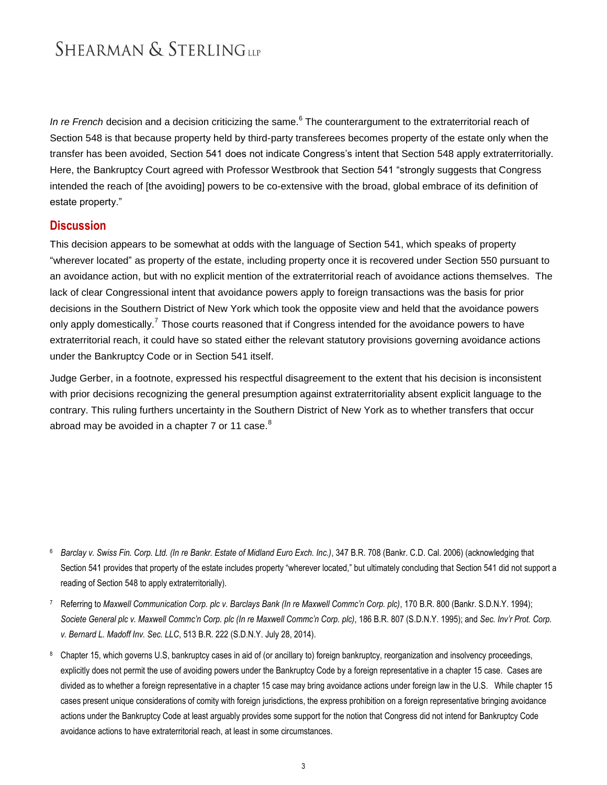In re French decision and a decision criticizing the same.<sup>6</sup> The counterargument to the extraterritorial reach of Section 548 is that because property held by third-party transferees becomes property of the estate only when the transfer has been avoided, Section 541 does not indicate Congress's intent that Section 548 apply extraterritorially. Here, the Bankruptcy Court agreed with Professor Westbrook that Section 541 "strongly suggests that Congress intended the reach of [the avoiding] powers to be co-extensive with the broad, global embrace of its definition of estate property."

#### **Discussion**

This decision appears to be somewhat at odds with the language of Section 541, which speaks of property "wherever located" as property of the estate, including property once it is recovered under Section 550 pursuant to an avoidance action, but with no explicit mention of the extraterritorial reach of avoidance actions themselves. The lack of clear Congressional intent that avoidance powers apply to foreign transactions was the basis for prior decisions in the Southern District of New York which took the opposite view and held that the avoidance powers only apply domestically.<sup>7</sup> Those courts reasoned that if Congress intended for the avoidance powers to have extraterritorial reach, it could have so stated either the relevant statutory provisions governing avoidance actions under the Bankruptcy Code or in Section 541 itself.

Judge Gerber, in a footnote, expressed his respectful disagreement to the extent that his decision is inconsistent with prior decisions recognizing the general presumption against extraterritoriality absent explicit language to the contrary. This ruling furthers uncertainty in the Southern District of New York as to whether transfers that occur abroad may be avoided in a chapter  $7$  or 11 case. $8$ 

- <sup>6</sup> *Barclay v. Swiss Fin. Corp. Ltd. (In re Bankr. Estate of Midland Euro Exch. Inc.)*, 347 B.R. 708 (Bankr. C.D. Cal. 2006) (acknowledging that Section 541 provides that property of the estate includes property "wherever located," but ultimately concluding that Section 541 did not support a reading of Section 548 to apply extraterritorially).
- 7 Referring to *Maxwell Communication Corp. plc v. Barclays Bank (In re Maxwell Commc'n Corp. plc)*, 170 B.R. 800 (Bankr. S.D.N.Y. 1994); *Societe General plc v. Maxwell Commc'n Corp. plc (In re Maxwell Commc'n Corp. plc)*, 186 B.R. 807 (S.D.N.Y. 1995); and *Sec. Inv'r Prot. Corp. v. Bernard L. Madoff Inv. Sec. LLC*, 513 B.R. 222 (S.D.N.Y. July 28, 2014).
- <sup>8</sup> Chapter 15, which governs U.S, bankruptcy cases in aid of (or ancillary to) foreign bankruptcy, reorganization and insolvency proceedings, explicitly does not permit the use of avoiding powers under the Bankruptcy Code by a foreign representative in a chapter 15 case. Cases are divided as to whether a foreign representative in a chapter 15 case may bring avoidance actions under foreign law in the U.S. While chapter 15 cases present unique considerations of comity with foreign jurisdictions, the express prohibition on a foreign representative bringing avoidance actions under the Bankruptcy Code at least arguably provides some support for the notion that Congress did not intend for Bankruptcy Code avoidance actions to have extraterritorial reach, at least in some circumstances.